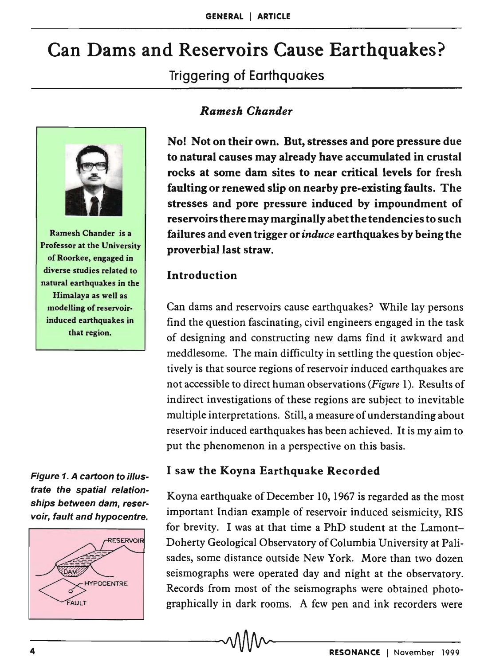# Can Dams and Reservoirs Cause Earthquakes?

Triggering of Earthquakes



Ramesh Chander is a Professor at the University of Roorkee, engaged in diverse studies related to natural earthquakes in the Himalaya as well as modelling of reservoirinduced earthquakes in that region.





#### *Ramesh Chander*

No! Not on their own. But, stresses and pore pressure due to natural causes may already have accumulated in crustal rocks at some dam sites to near critical levels for fresh faulting or renewed slip on nearby pre-existing faults. The stresses and pore pressure induced by impoundment of reservoirs there may marginally abet the tendencies to such failures and even trigger or *induce* earthquakes by being the proverbial last straw.

# Introduction

Can dams and reservoirs cause earthquakes? While lay persons find the question fascinating, civil engineers engaged in the task of designing and constructing new dams find it awkward and meddlesome. The main difficulty in settling the question objectively is that source regions of reservoir induced earthquakes are not accessible to direct human observations *(Figure* 1). Results of indirect investigations of these regions are subject to inevitable multiple interpretations. Still, a measure of understanding about reservoir induced earthquakes has been achieved. It is my aim to put the phenomenon in a perspective on this basis.

#### I saw the Koyna Earthquake Recorded

Koyna earthquake of December 10, 1967 is regarded as the most important Indian example of reservoir induced seismicity, RIS for brevity. I was at that time a PhD student at the Lamont-Doherty Geological Observatory of Columbia University at Palisades, some distance outside New York. More than two dozen seismographs were operated day and night at the observatory. Records from most of the seismographs were obtained photographically in dark rooms. A few pen and ink recorders were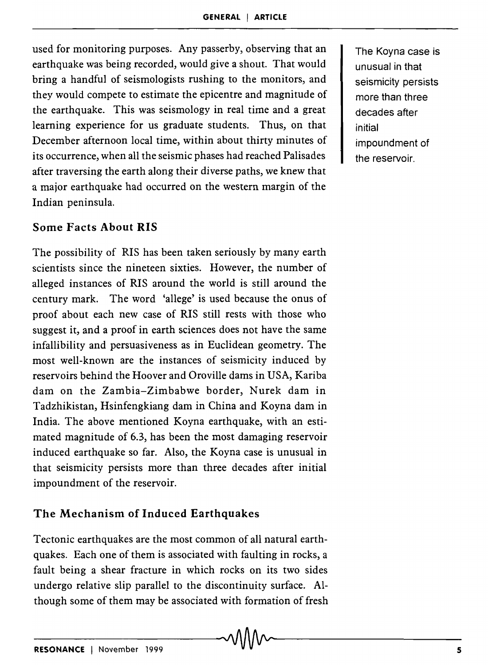used for monitoring purposes. Any passerby, observing that an earthquake was being recorded, would give a shout. That would bring a handful of seismologists rushing to the monitors, and they would compete to estimate the epicentre and magnitude of the earthquake. This was seismology in real time and a great learning experience for us graduate students. Thus, on that December afternoon local time, within about thirty minutes of its occurrence, when all the seismic phases had reached Palisades after traversing the earth along their diverse paths, we knew that a major earthquake had occurred on the western margin of the Indian peninsula.

### **Some Facts About RIS**

The possibility of RIS has been taken seriously by many earth scientists since the nineteen sixties. However, the number of alleged instances of RIS around the world is still around the century mark. The word 'allege' is used because the onus of proof about each new case of RIS still rests with those who suggest it, and a proof in earth sciences does not have the same infallibility and persuasiveness as in Euclidean geometry. The most well-known are the instances of seismicity induced by reservoirs behind the Hoover and Oroville dams in USA, Kariba dam on the Zambia-Zimbabwe border, Nurek dam in Tadzhikistan, Hsinfengkiang dam in China and Koyna dam in India. The above mentioned Koyna earthquake, with an estimated magnitude of 6.3, has been the most damaging reservoir induced earthquake so far. Also, the Koyna case is unusual in that seismicity persists more than three decades after initial impoundment of the reservoir.

# **The Mechanism of Induced Earthquakes**

Tectonic earthquakes are the most common of all natural earthquakes. Each one of them is associated with faulting in rocks, a fault being a shear fracture in which rocks on its two sides undergo relative slip parallel to the discontinuity surface. Although some of them may be associated with formation of fresh

The Koyna case is unusual in that seismicity persists more than three decades after initial impoundment of the reservoir.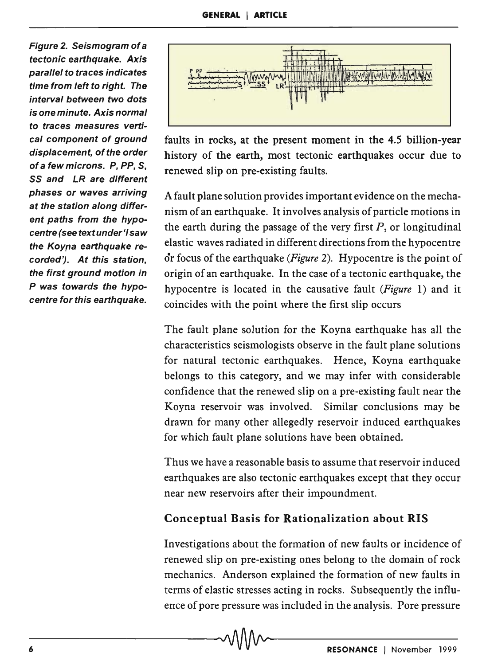Figure 2. Seismogram of a tectonic earthquake. Axis parallel to traces indicates time from left to right. The interval between two dots is one minute. Axis normal to traces measures vertical component of ground displacement, of the order of a few microns. P, PP, S, SS and LR are different phases or waves arriving at the station along different paths from the hypocentre (see text under 'I saw the Koyna earthquake recorded'). At this station, the first ground motion in P was towards the hypocentre for this earthquake.



faults in rocks, at the present moment in the 4.5 billion-year history of the earth, most tectonic earthquakes occur due to renewed slip on pre-existing faults.

A fault plane solution provides important evidence on the mechanism of an earthquake. It involves analysis of particle motions in the earth during the passage of the very first  $P$ , or longitudinal elastic waves radiated in different directions from the hypocentre or focus of the earthquake *(Figure* 2). Hypocentre is the point of origin of an earthquake. In the case of a tectonic earthquake, the hypocentre is located in the causative fault *(Figure* 1) and it coincides with the point where the first slip occurs

The fault plane solution for the Koyna earthquake has all the characteristics seismologists observe in the fault plane solutions for natural tectonic earthquakes. Hence, Koyna earthquake belongs to this category, and we may infer with considerable confidence that the renewed slip on a pre-existing fault near the Koyna reservoir was involved. Similar conclusions may be drawn for many other allegedly reservoir induced earthquakes for which fault plane solutions have been obtained.

Thus we have a reasonable basis to assume that reservoir induced earthquakes are also tectonic earthquakes except that they occur near new reservoirs after their impoundment.

# Conceptual Basis for Rationalization about RIS

Investigations about the formation of new faults or incidence of renewed slip on pre-existing ones belong to the domain of rock mechanics. Anderson explained the formation of new faults in terms of elastic stresses acting in rocks. Subsequently the influence of pore pressure was included in the analysis. Pore pressure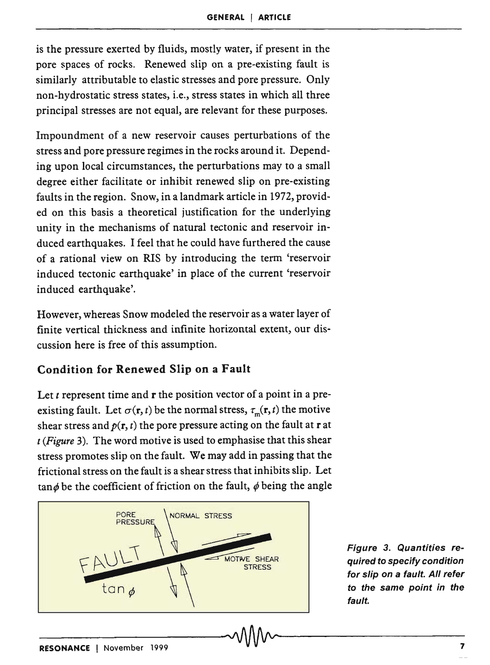is the pressure exerted by fluids, mostly water, if present in the pore spaces of rocks. Renewed slip on a pre-existing fault is similarly attributable to elastic stresses and pore pressure. Only non-hydrostatic stress states, i.e., stress states in which all three principal stresses are not equal, are relevant for these purposes.

Impoundment of a new reservoir causes perturbations of the stress and pore pressure regimes in the rocks around it. Depending upon local circumstances, the perturbations may to a small degree either facilitate or inhibit renewed slip on pre-existing faults in the region. Snow, in a landmark article in 1972, provided on this basis a theoretical justification for the underlying unity in the mechanisms of natural tectonic and reservoir induced earthquakes. I feel that he could have furthered the cause of a rational view on RIS by introducing the term 'reservoir induced tectonic earthquake' in place of the current 'reservoir induced earthquake'.

However, whereas Snow modeled the reservoir as a water layer of finite vertical thickness and infinite horizontal extent, our discussion here is free of this assumption.

### Condition for Renewed Slip on a Fault

Let *t* represent time and **r** the position vector of a point in a preexisting fault. Let  $\sigma(\mathbf{r}, t)$  be the normal stress,  $\tau_m(\mathbf{r}, t)$  the motive shear stress and  $p(r, t)$  the pore pressure acting on the fault at r at t *(Figure* 3). The word motive is used to emphasise that this shear stress promotes slip on the fault. We may add in passing that the frictional stress on the fault is a shear stress that inhibits slip. Let  $tan \phi$  be the coefficient of friction on the fault,  $\phi$  being the angle



Figure 3. Quantities required to specify condition for slip on a fault. All refer to the same point in the fault.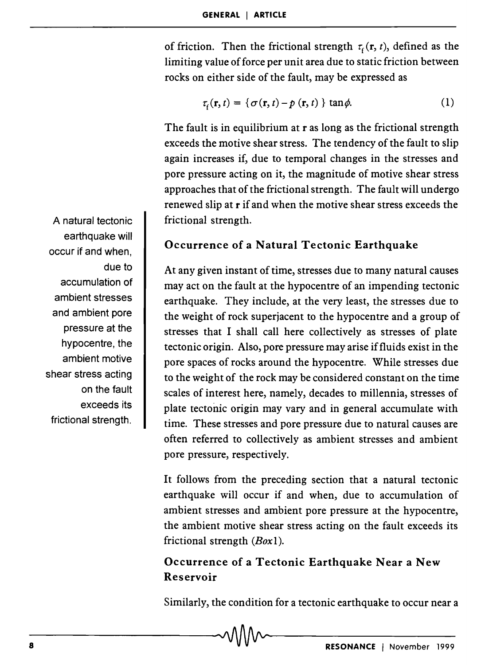of friction. Then the frictional strength  $\tau_f(\mathbf{r}, t)$ , defined as the limiting value of force per unit area due to static friction between rocks on either side of the fault, may be expressed as

$$
\tau_{\rm f}(\mathbf{r},t) = \{ \sigma(\mathbf{r},t) - p(\mathbf{r},t) \} \tan \phi. \tag{1}
$$

The fault is in equilibrium at r as long as the frictional strength exceeds the motive shear stress. The tendency of the fault to slip again increases if, due to temporal changes in the stresses and pore pressure acting on it, the magnitude of motive shear stress approaches that of the frictional strength. The fault will undergo renewed slip at r if and when the motive shear stress exceeds the frictional strength.

#### Occurrence of a Natural Tectonic Earthquake

At any given instant of time, stresses due to many natural causes may act on the fault at the hypocentre of an impending tectonic earthquake. They include, at the very least, the stresses due to the weight of rock superjacent to the hypocentre and a group of stresses that I shall call here collectively as stresses of plate tectonic origin. Also, pore pressure may arise if fluids exist in the pore spaces of rocks around the hypocentre. While stresses due to the weight of the rock may be considered constant on the time scales of interest here, namely, decades to millennia, stresses of plate tectonic origin may vary and in general accumulate with time. These stresses and pore pressure due to natural causes are often referred to collectively as ambient stresses and ambient pore pressure, respectively.

It follows from the preceding section that a natural tectonic earthquake will occur if and when, due to accumulation of ambient stresses and ambient pore pressure at the hypocentre, the ambient motive shear stress acting on the fault exceeds its frictional strength *(Box* 1).

# Occurrence of a Tectonic Earthquake Near a New Reservoir

Similarly, the condition for a tectonic earthquake to occur near a

A natural tectonic earthquake will occur if and when, due to accumulation of ambient stresses and ambient pore pressure at the hypocentre, the ambient motive shear stress acting on the fault exceeds its frictional strength.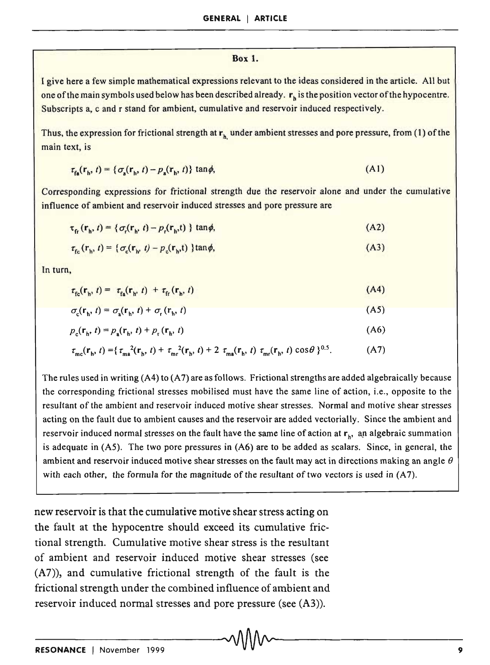#### Box 1.

I give here a few simple mathematical expressions relevant to the ideas considered in the article. All but one of the main symbols used below has been described already.  $\mathbf{r}_h$  is the position vector of the hypocentre. Subscripts a, c and r stand for ambient, cumulative and reservoir induced respectively.

Thus, the expression for frictional strength at  $r_h$  under ambient stresses and pore pressure, from (1) of the main text, is

$$
\tau_{\text{fa}}(\mathbf{r}_{\text{b}}, t) = \{ \sigma_{\text{a}}(\mathbf{r}_{\text{b}}, t) - p_{\text{a}}(\mathbf{r}_{\text{b}}, t) \} \tan \phi,
$$
\n(A1)

Corresponding expressions for frictional strength due the reservoir alone and under the cumulative influence of ambient and reservoir induced stresses and pore pressure are

$$
\tau_{\rm fr}(\mathbf{r}_{\rm h},t) = \{ \sigma_{\rm r}(\mathbf{r}_{\rm h},t) - p_{\rm r}(\mathbf{r}_{\rm h},t) \} \tan \phi, \tag{A2}
$$

$$
\tau_{\rm fc}(\mathbf{r}_{\rm b}, t) = \{ \sigma_{\rm c}(\mathbf{r}_{\rm b}, t) - p_{\rm c}(\mathbf{r}_{\rm b}, t) \} \tan \phi,
$$
\n(A3)

In turn,

$$
\tau_{\rm fc}(\mathbf{r}_{\rm h}, t) = \tau_{\rm fc}(\mathbf{r}_{\rm h}, t) + \tau_{\rm fc}(\mathbf{r}_{\rm h}, t) \tag{A4}
$$

$$
\sigma_{\rm c}(\mathbf{r}_{\rm h}, t) = \sigma_{\rm a}(\mathbf{r}_{\rm h}, t) + \sigma_{\rm r}(\mathbf{r}_{\rm h}, t) \tag{A5}
$$

$$
p_c(\mathbf{r}_h, t) = p_a(\mathbf{r}_h, t) + p_r(\mathbf{r}_h, t) \tag{A6}
$$

$$
\tau_{\rm mc}(\mathbf{r}_{\rm h}, t) = \{\tau_{\rm ma}^2(\mathbf{r}_{\rm h}, t) + \tau_{\rm mr}^2(\mathbf{r}_{\rm h}, t) + 2 \tau_{\rm ma}(\mathbf{r}_{\rm h}, t) \tau_{\rm mr}(\mathbf{r}_{\rm h}, t) \cos\theta\}^{0.5}.
$$
 (A7)

The rules used in writing  $(A4)$  to  $(A7)$  are as follows. Frictional strengths are added algebraically because the corresponding frictional stresses mobilised must have the same line of action, i.e., opposite to the resultant of the ambient and reservoir induced motive shear stresses. Normal and motive shear stresses acting on the fault due to ambient causes and the reservoir are added vectorially. Since the ambient and reservoir induced normal stresses on the fault have the same line of action at  $r_h$ , an algebraic summation is adequate in (A5), The two pore pressures in (A6) are to be added as scalars. Since, in general, the ambient and reservoir induced motive shear stresses on the fault may act in directions making an angle  $\theta$ with each other, the formula for the magnitude of the resultant of two vectors is used in (A7).

new reservoir is that the cumulative motive shear stress acting on the fault at the hypocentre should exceed its cumulative frictional strength. Cumulative motive shear stress is the resultant of ambient and reservoir induced motive shear stresses (see (A7)), and cumulative frictional strength of the fault is the frictional strength under the combined influence of ambient and reservoir induced normal stresses and pore pressure (see (A3)).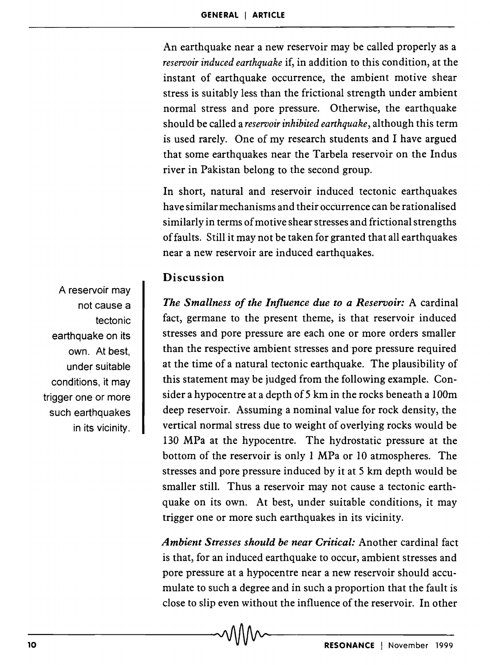An earthquake near a new reservoir may be called properly as a *reservoir induced earthquake* if, in addition to this condition, at the instant of earthquake occurrence, the ambient motive shear stress is suitably less than the frictional strength under ambient normal stress and pore pressure. Otherwise, the earthquake should be called a *reservoir inhibited earthquake,* although this term is used rarely. One of my research students and I have argued that some earthquakes near the Tarbela reservoir on the Indus river in Pakistan belong to the second group.

In short, natural and reservoir induced tectonic earthquakes have similar mechanisms and their occurrence can be rationalised similarly in terms of motive shear stresses and frictional strengths of faults. Still it may not be taken for granted that all earthquakes near a new reservoir are induced earthquakes.

#### **Discussion**

*The Smallness of the Influence due to a Reservoir:* A cardinal fact, germane to the present theme, is that reservoir induced stresses and pore pressure are each one or more orders smaller than the respective ambient stresses and pore pressure required at the time of a natural tectonic earthquake. The plausibility of this statement may be judged from the following example. Consider a hypocentre at a depth of 5 km in the rocks beneath a 100m deep reservoir. Assuming a nominal value for rock density, the vertical normal stress due to weight of overlying rocks would be 130 MPa at the hypocentre. The hydrostatic pressure at the bottom of the reservoir is only 1 MPa or 10 atmospheres. The stresses and pore pressure induced by it at 5 km depth would be smaller still. Thus a reservoir may not cause a tectonic earthquake on its own. At best, under suitable conditions, it may trigger one or more such earthquakes in its vicinity.

*Ambient Stresses should be near Critical:* Another cardinal fact is that, for an induced earthquake to occur, ambient stresses and pore pressure at a hypocentre near a new reservoir should accumulate to such a degree and in such a proportion that the fault is close to slip even without the influence of the reservoir. In other

A reservoir may not cause a tectonic earthquake on its own. At best, under suitable conditions, it may trigger one or more such earthquakes in its vicinity.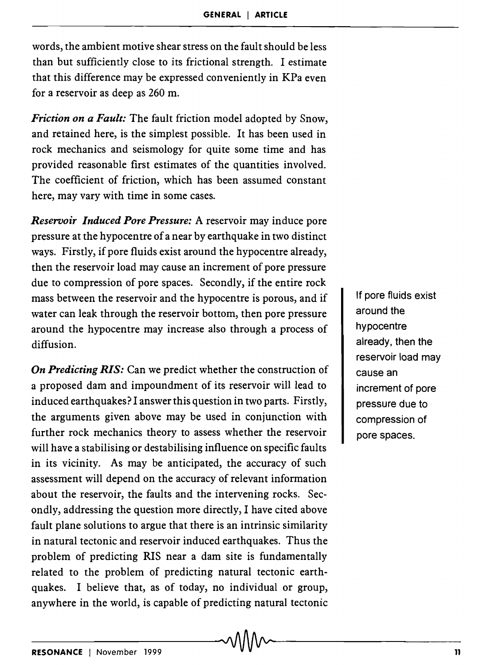words, the ambient motive shear stress on the fault should be less than but sufficiently close to its frictional strength. I estimate that this difference may be expressed conveniently in KPa even for a reservoir as deep as 260 m.

*Friction on a Fault:* The fault friction model adopted by Snow, and retained here, is the simplest possible. It has been used in rock mechanics and seismology for quite some time and has provided reasonable first estimates of the quantities involved. The coefficient of friction, which has been assumed constant here, may vary with time in some cases.

*Reservoir Induced Pore Pressure:* A reservoir may induce pore pressure at the hypo centre of a near by earthquake in two distinct ways. Firstly, if pore fluids exist around the hypocentre already, then the reservoir load may cause an increment of pore pressure due to compression of pore spaces. Secondly, if the entire rock mass between the reservoir and the hypocentre is porous, and if water can leak through the reservoir bottom, then pore pressure around the hypocentre may increase also through a process of diffusion.

On *Predicting RIS:* Can we predict whether the construction of a proposed dam and impoundment of its reservoir will lead to induced earthquakes? I answer this question in two parts. Firstly, the arguments given above may be used in conjunction with further rock mechanics theory to assess whether the reservoir will have a stabilising or destabilising influence on specific faults in its vicinity. As may be anticipated, the accuracy of such assessment will depend on the accuracy of relevant information about the reservoir, the faults and the intervening rocks. Secondly, addressing the question more directly, I have cited above fault plane solutions to argue that there is an intrinsic similarity in natural tectonic and reservoir induced earthquakes. Thus the problem of predicting RIS near a dam site is fundamentally related to the problem of predicting natural tectonic earthquakes. I believe that, as of today, no individual or group, anywhere in the world, is capable of predicting natural tectonic If pore fluids exist around the hypocentre already, then the reservoir load may cause an increment of pore pressure due to compression of pore spaces.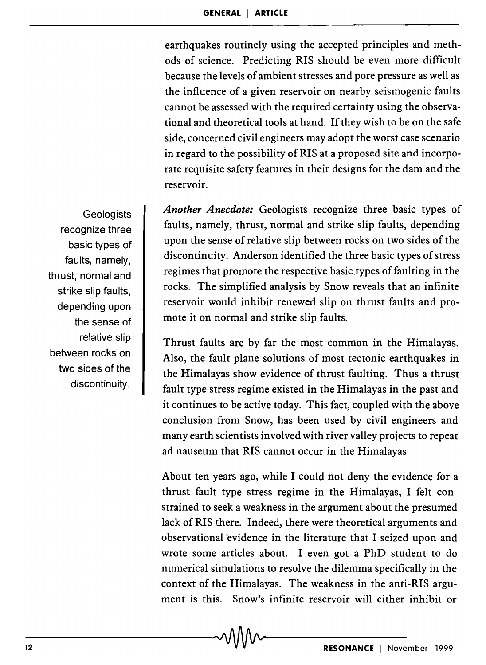earthquakes routinely using the accepted principles and methods of science. Predicting RIS should be even more difficult because the levels of ambient stresses and pore pressure as well as the influence of a given reservoir on nearby seismogenic faults cannot be assessed with the required certainty using the observational and theoretical tools at hand. If they wish to be on the safe side, concerned civil engineers may adopt the worst case scenario in regard to the possibility of RIS at a proposed site and incorporate requisite safety features in their designs for the dam and the reservoir.

*Another Anecdote:* Geologists recognize three basic types of faults, namely, thrust, normal and strike slip faults, depending upon the sense of relative slip between rocks on two sides of the discontinuity. Anderson identified the three basic types of stress regimes that promote the respective basic types of faulting in the rocks. The simplified analysis by Snow reveals that an infinite reservoir would inhibit renewed slip on thrust faults and promote it on normal and strike slip faults.

Thrust faults are by far the most common in the Himalayas. Also, the fault plane solutions of most tectonic earthquakes in the Himalayas show evidence of thrust faulting. Thus a thrust fault type stress regime existed in the Himalayas in the past and it continues to be active today. This fact, coupled with the above conclusion from Snow, has been used by civil engineers and many earth scientists involved with river valley projects to repeat ad nauseum that RIS cannot occur in the Himalayas.

About ten years ago, while I could not deny the evidence for a thrust fault type stress regime in the Himalayas, I felt constrained to seek a weakness in the argument about the presumed lack of RIS there. Indeed, there were theoretical arguments and observational 'evidence in the literature that I seized upon and wrote some articles about. I even got a PhD student to do numerical simulations to resolve the dilemma specifically in the context of the Himalayas. The weakness in the anti-RIS argument is this. Snow's infinite reservoir will either inhibit or

**Geologists** recognize three basic types of faults, namely, thrust, normal and strike slip faults, depending upon the sense of relative slip between rocks on two sides of the discontinuity.